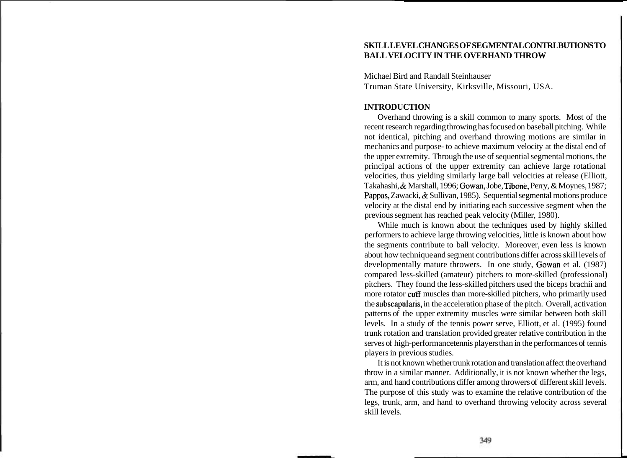# **SKILL LEVEL CHANGES OF SEGMENTAL CONTRLBUTIONS TO BALL VELOCITY IN THE OVERHAND THROW**

Michael Bird and Randall Steinhauser Truman State University, Kirksville, Missouri, USA.

#### **INTRODUCTION**

Overhand throwing is a skill common to many sports. Most of the recent research regarding throwing has focused on baseball pitching. While not identical, pitching and overhand throwing motions are similar in mechanics and purpose- to achieve maximum velocity at the distal end of the upper extremity. Through the use of sequential segmental motions, the principal actions of the upper extremity can achieve large rotational velocities, thus yielding similarly large ball velocities at release (Elliott, Takahashi, & Marshall, 1996; Gowan, Jobe, Tibone, Perry, & Moynes, 1987; Pappas, Zawacki, & Sullivan, 1985). Sequential segmental motions produce velocity at the distal end by initiating each successive segment when the previous segment has reached peak velocity (Miller, 1980).

While much is known about the techniques used by highly skilled performers to achieve large throwing velocities, little is known about how the segments contribute to ball velocity. Moreover, even less is known about how technique and segment contributions differ across skill levels of developmentally mature throwers. In one study, Gowan et al. (1987) compared less-skilled (amateur) pitchers to more-skilled (professional) pitchers. They found the less-skilled pitchers used the biceps brachii and more rotator cuff muscles than more-skilled pitchers, who primarily used the subscapularis, in the acceleration phase of the pitch. Overall, activation patterns of the upper extremity muscles were similar between both skill levels. In a study of the tennis power serve, Elliott, et al. (1995) found trunk rotation and translation provided greater relative contribution in the serves of high-performance tennis players than in the performances of tennis players in previous studies.

It is not known whether trunk rotation and translation affect the overhand throw in a similar manner. Additionally, it is not known whether the legs, arm, and hand contributions differ among throwers of different skill levels. The purpose of this study was to examine the relative contribution of the legs, trunk, arm, and hand to overhand throwing velocity across several skill levels.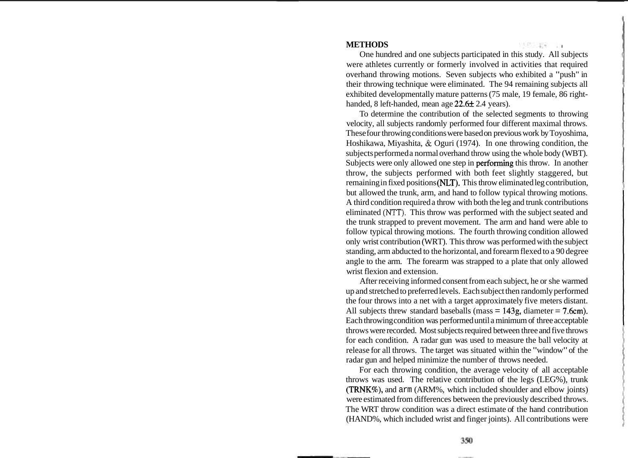## **METHODS** \

One hundred and one subjects participated in this study. All subjects were athletes currently or formerly involved in activities that required overhand throwing motions. Seven subjects who exhibited a "push" in their throwing technique were eliminated. The 94 remaining subjects all exhibited developmentally mature patterns (75 male, 19 female, 86 righthanded, 8 left-handed, mean age  $22.6 \pm 2.4$  years).

To determine the contribution of the selected segments to throwing velocity, all subjects randomly performed four different maximal throws. These four throwing conditions were based on previous work by Toyoshima, Hoshikawa, Miyashita, & Oguri (1974). In one throwing condition, the subjects performed a normal overhand throw using the whole body (WBT). Subjects were only allowed one step in performing this throw. In another throw, the subjects performed with both feet slightly staggered, but remaining in fixed positions (NLT). This throw eliminated leg contribution, but allowed the trunk, arm, and hand to follow typical throwing motions. A third condition required a throw with both the leg and trunk contributions eliminated (NTT). This throw was performed with the subject seated and the trunk strapped to prevent movement. The arm and hand were able to follow typical throwing motions. The fourth throwing condition allowed only wrist contribution (WRT). This throw was performed with the subject standing, arm abducted to the horizontal, and forearm flexed to a 90 degree angle to the arm. The forearm was strapped to a plate that only allowed wrist flexion and extension.

After receiving informed consent from each subject, he or she warmed up and stretched to preferred levels. Each subject then randomly performed the four throws into a net with a target approximately five meters distant. All subjects threw standard baseballs (mass  $= 143g$ , diameter  $= 7.6cm$ ). Each throwing condition was performed until a minimum of three acceptable throws were recorded. Most subjects required between three and five throws for each condition. A radar gun was used to measure the ball velocity at release for all throws. The target was situated within the "window" of the radar gun and helped minimize the number of throws needed.

For each throwing condition, the average velocity of all acceptable throws was used. The relative contribution of the legs (LEG%), trunk (TRNK%), and arm (ARM%, which included shoulder and elbow joints) were estimated from differences between the previously described throws. The WRT throw condition was a direct estimate of the hand contribution (HAND%, which included wrist and finger joints). All contributions were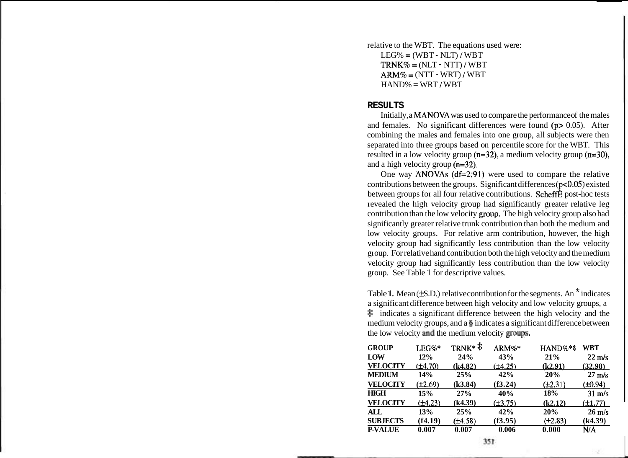relative to the WBT. The equations used were:  $LEG\% = (WBT - NLT)/WBT$  $TRNK\% = (NLT - NTT)/WBT$  $ARM\% = (NTT - WRT)/WBT$  $HAND% = WRT / WBT$ 

#### **RESULTS**

Initially, a MANOVA was used to compare the performance of the males and females. No significant differences were found  $(p> 0.05)$ . After combining the males and females into one group, all subjects were then separated into three groups based on percentile score for the WBT. This resulted in a low velocity group ( $n=32$ ), a medium velocity group ( $n=30$ ), and a high velocity group (n=32).

One way ANOVAs (df=2,91) were used to compare the relative contributions between the groups. Significant differences ( $p < 0.05$ ) existed between groups for all four relative contributions. ScheffE post-hoc tests revealed the high velocity group had significantly greater relative leg contribution than the low velocity gtoup. The high velocity group also had significantly greater relative trunk contribution than both the medium and low velocity groups. For relative arm contribution, however, the high velocity group had significantly less contribution than the low velocity group. For relative hand contribution both the high velocity and the medium velocity group had significantly less contribution than the low velocity group. See Table 1 for descriptive values.

Table 1. Mean  $(\pm S.D.)$  relative contribution for the segments. An  $\check{ }$  indicates a significant difference between high velocity and low velocity groups, a  $\ddot{\bullet}$  indicates a significant difference between the high velocity and the medium velocity groups, and a **9** indicates a significant difference between the low velocity and the medium velocity groups.

| <b>GROUP</b>    | LEG%*        | $TRNK*$ <sup><math>\ddagger</math></sup> | ARM%*        | $HAND\%*$ §  | WBT              |
|-----------------|--------------|------------------------------------------|--------------|--------------|------------------|
| LOW             | 12%          | 24%                                      | 43%          | 21%          | $22 \text{ m/s}$ |
| <b>VELOCITY</b> | $(\pm 4.70)$ | (k4.82)                                  | $(\pm 4.25)$ | (k2.91)      | (32.98)          |
| <b>MEDIUM</b>   | 14%          | 25%                                      | 42%          | 20%          | $27 \text{ m/s}$ |
| <b>VELOCITY</b> | $(\pm 2.69)$ | (k3.84)                                  | (f3.24)      | $(\pm 2.31)$ | $(\pm 0.94)$     |
| <b>HIGH</b>     | 15%          | 27%                                      | 40%          | 18%          | $31 \text{ m/s}$ |
| <b>VELOCITY</b> | $(\pm 4.23)$ | (k4.39)                                  | $(\pm 3.75)$ | (k2.12)      | $(\pm 1.77)$     |
| ALL             | 13%          | 25%                                      | 42%          | 20%          | $26 \text{ m/s}$ |
| <b>SUBJECTS</b> | (f4.19)      | $(\pm 4.58)$                             | (f3.95)      | $(\pm 2.83)$ | (k4.39)          |
| <b>P-VALUE</b>  | 0.007        | 0.007                                    | 0.006        | 0.000        | N/A              |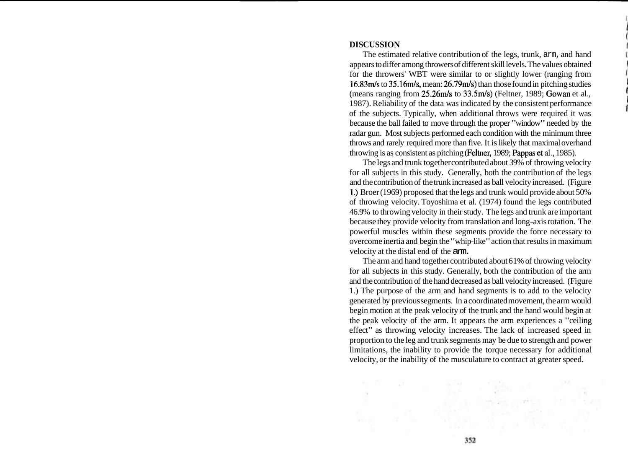## **DISCUSSION**

The estimated relative contribution of the legs, trunk, arm, and hand appears to differ among throwers of different skill levels. The values obtained for the throwers' WBT were similar to or slightly lower (ranging from 16.83m/s to 35.16m/s, mean: 26.79m/s) than those found in pitching studies (means ranging from  $25.26m/s$  to  $33.5m/s$ ) (Feltner, 1989; Gowan et al., 1987). Reliability of the data was indicated by the consistent performance of the subjects. Typically, when additional throws were required it was because the ball failed to move through the proper "window" needed by the radar gun. Most subjects performed each condition with the minimum three throws and rarely required more than five. It is likely that maximal overhand throwing is as consistent as pitching (Feltner, 1989; Pappas et **al.,** 1985).

The legs and trunk together contributed about 39% of throwing velocity for all subjects in this study. Generally, both the contribution of the legs and the contribution of the trunk increased as ball velocity increased. (Figure 1 .) Broer (1 969) proposed that the legs and trunk would provide about 50% of throwing velocity. Toyoshima et al. (1974) found the legs contributed 46.9% to throwing velocity in their study. The legs and trunk are important because they provide velocity from translation and long-axis rotation. The powerful muscles within these segments provide the force necessary to overcome inertia and begin the "whip-like" action that results in maximum velocity at the distal end of the arm.

The arm and hand together contributed about 61% of throwing velocity for all subjects in this study. Generally, both the contribution of the arm and the contribution of the hand decreased as ball velocity increased. (Figure 1.) The purpose of the arm and hand segments is to add to the velocity generated by previous segments. In a coordinated movement, the arm would begin motion at the peak velocity of the trunk and the hand would begin at the peak velocity of the arm. It appears the arm experiences a "ceiling effect" as throwing velocity increases. The lack of increased speed in proportion to the leg and trunk segments may be due to strength and power limitations, the inability to provide the torque necessary for additional velocity, or the inability of the musculature to contract at greater speed.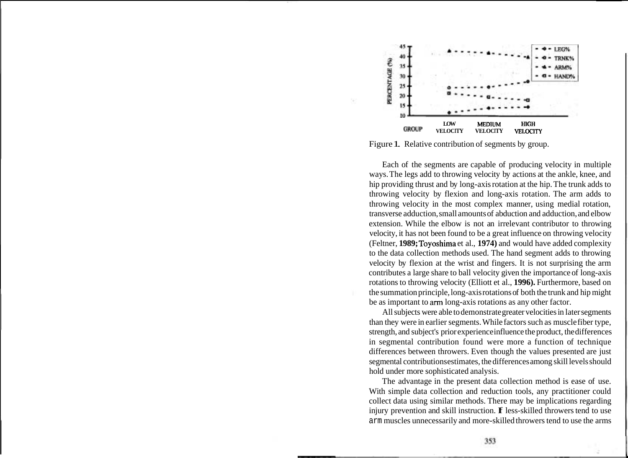

Figure 1. Relative contribution of segments by group.

Each of the segments are capable of producing velocity in multiple ways. The legs add to throwing velocity by actions at the ankle, knee, and hip providing thrust and by long-axis rotation at the hip. The trunk adds to throwing velocity by flexion and long-axis rotation. The arm adds to throwing velocity in the most complex manner, using medial rotation, transverse adduction, small amounts of abduction and adduction, and elbow extension. While the elbow is not an irrelevant contributor to throwing velocity, it has not been found to be a great influence on throwing velocity (Feltner, **1989;** Toyoshima et al., **1974)** and would have added complexity to the data collection methods used. The hand segment adds to throwing velocity by flexion at the wrist and fingers. It is not surprising the arm contributes a large share to ball velocity given the importance of long-axis rotations to throwing velocity (Elliott et al., **1996).** Furthermore, based on the summation principle, long-axis rotations of both the trunk and hip might be as important to arm long-axis rotations as any other factor.

All subjects were able to demonstrate greater velocities in later segments than they were in earlier segments. While factors such as muscle fiber type, strength, and subject's prior experience influence the product, the differences in segmental contribution found were more a function of technique differences between throwers. Even though the values presented are just segmental contributions estimates, the differences among skill levels should hold under more sophisticated analysis.

The advantage in the present data collection method is ease of use. With simple data collection and reduction tools, any practitioner could collect data using similar methods. There may be implications regarding injury prevention and skill instruction. If less-skilled throwers tend to use arm muscles unnecessarily and more-skilled throwers tend to use the arms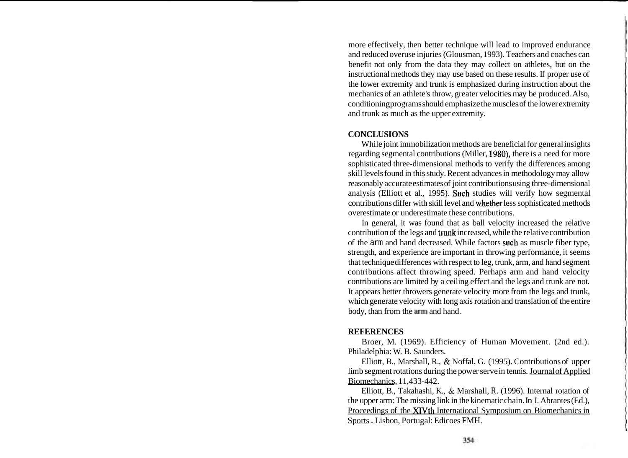more effectively, then better technique will lead to improved endurance and reduced overuse injuries (Glousman, 1993). Teachers and coaches can benefit not only from the data they may collect on athletes, but on the instructional methods they may use based on these results. If proper use of the lower extremity and trunk is emphasized during instruction about the mechanics of an athlete's throw, greater velocities may be produced. Also, conditioning programs should emphasize the muscles of the lower extremity and trunk as much as the upper extremity.

# **CONCLUSIONS**

While joint immobilization methods are beneficial for general insights regarding segmental contributions (Miller, 1980), there is a need for more sophisticated three-dimensional methods to verify the differences among skill levels found in this study. Recent advances in methodology may allow reasonably accurate estimates of joint contributions using three-dimensional analysis (Elliott et al., 1995). Such studies will verify how segmental contributions differ with skill level and whether less sophisticated methods overestimate or underestimate these contributions.

In general, it was found that as ball velocity increased the relative contribution of the legs and trunk increased, while the relative contribution of the arm and hand decreased. While factors such as muscle fiber type, strength, and experience are important in throwing performance, it seems that technique differences with respect to leg, trunk, arm, and hand segment contributions affect throwing speed. Perhaps arm and hand velocity contributions are limited by a ceiling effect and the legs and trunk are not. It appears better throwers generate velocity more from the legs and trunk, which generate velocity with long axis rotation and translation of the entire body, than from the arm and hand.

# **REFERENCES**

Broer, M. (1969). Efficiency of Human Movement. (2nd ed.). Philadelphia: W. B. Saunders.

Elliott, B., Marshall, R., & Noffal, G. (1995). Contributions of upper limb segment rotations during the power serve in tennis. Journal of Applied Biomechanics, 11,433-442.

Elliott, B., Takahashi, K., & Marshall, R. (1996). Internal rotation of the upper arm: The missing link in the kinematic chain. In J. Abrantes (Ed.), Proceedings of the XIVth International Symposium on Biomechanics in Sports . Lisbon, Portugal: Edicoes FMH.